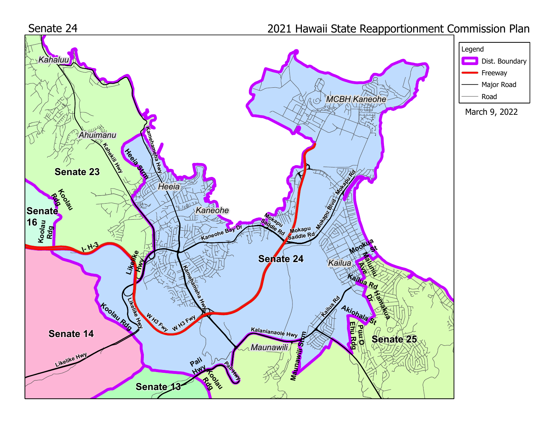